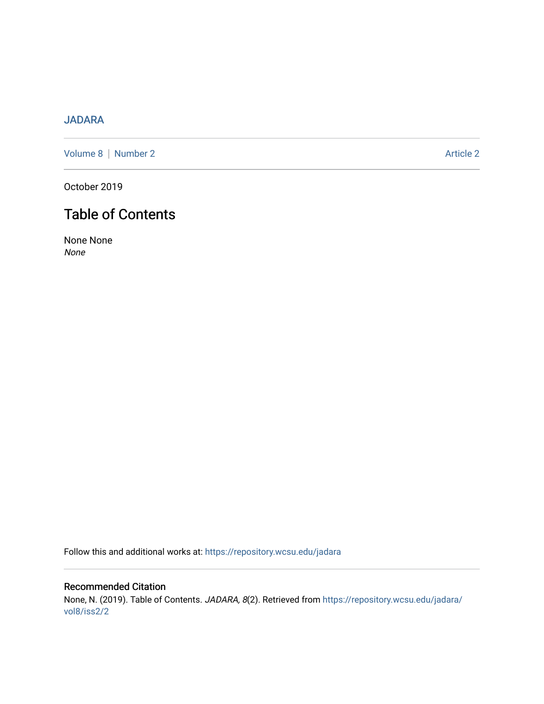# [JADARA](https://repository.wcsu.edu/jadara)

[Volume 8](https://repository.wcsu.edu/jadara/vol8) | [Number 2](https://repository.wcsu.edu/jadara/vol8/iss2) Article 2

October 2019

# Table of Contents

None None None

Follow this and additional works at: [https://repository.wcsu.edu/jadara](https://repository.wcsu.edu/jadara?utm_source=repository.wcsu.edu%2Fjadara%2Fvol8%2Fiss2%2F2&utm_medium=PDF&utm_campaign=PDFCoverPages)

# Recommended Citation None, N. (2019). Table of Contents. JADARA, 8(2). Retrieved from [https://repository.wcsu.edu/jadara/](https://repository.wcsu.edu/jadara/vol8/iss2/2?utm_source=repository.wcsu.edu%2Fjadara%2Fvol8%2Fiss2%2F2&utm_medium=PDF&utm_campaign=PDFCoverPages) [vol8/iss2/2](https://repository.wcsu.edu/jadara/vol8/iss2/2?utm_source=repository.wcsu.edu%2Fjadara%2Fvol8%2Fiss2%2F2&utm_medium=PDF&utm_campaign=PDFCoverPages)